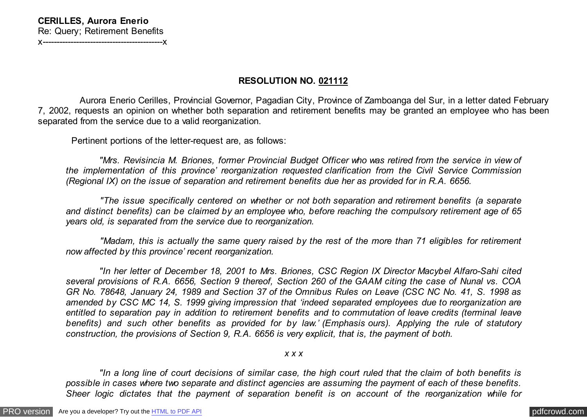## **RESOLUTION NO. 021112**

 Aurora Enerio Cerilles, Provincial Governor, Pagadian City, Province of Zamboanga del Sur, in a letter dated February 7, 2002, requests an opinion on whether both separation and retirement benefits may be granted an employee who has been separated from the service due to a valid reorganization.

Pertinent portions of the letter-request are, as follows:

 *"Mrs. Revisincia M. Briones, former Provincial Budget Officer who was retired from the service in view of the implementation of this province' reorganization requested clarification from the Civil Service Commission (Regional IX) on the issue of separation and retirement benefits due her as provided for in R.A. 6656.*

 *"The issue specifically centered on whether or not both separation and retirement benefits (a separate and distinct benefits) can be claimed by an employee who, before reaching the compulsory retirement age of 65 years old, is separated from the service due to reorganization.*

 *"Madam, this is actually the same query raised by the rest of the more than 71 eligibles for retirement now affected by this province' recent reorganization.*

 *"In her letter of December 18, 2001 to Mrs. Briones, CSC Region IX Director Macybel Alfaro-Sahi cited several provisions of R.A. 6656, Section 9 thereof, Section 260 of the GAAM citing the case of Nunal vs. COA GR No. 78648, January 24, 1989 and Section 37 of the Omnibus Rules on Leave (CSC NC No. 41, S. 1998 as amended by CSC MC 14, S. 1999 giving impression that 'indeed separated employees due to reorganization are entitled to separation pay in addition to retirement benefits and to commutation of leave credits (terminal leave benefits) and such other benefits as provided for by law.' (Emphasis ours). Applying the rule of statutory construction, the provisions of Section 9, R.A. 6656 is very explicit, that is, the payment of both.*

## *x x x*

 *"In a long line of court decisions of similar case, the high court ruled that the claim of both benefits is possible in cases where two separate and distinct agencies are assuming the payment of each of these benefits. Sheer logic dictates that the payment of separation benefit is on account of the reorganization while for*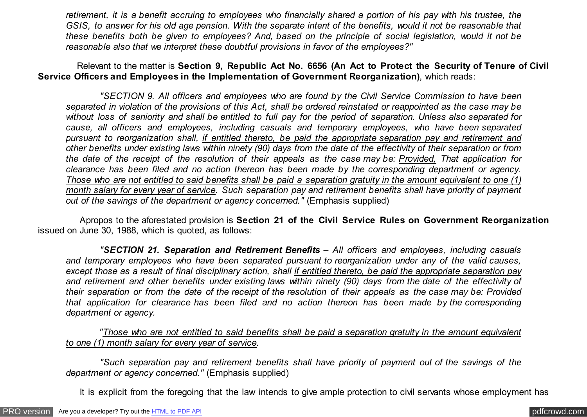*retirement, it is a benefit accruing to employees who financially shared a portion of his pay with his trustee, the GSIS, to answer for his old age pension. With the separate intent of the benefits, would it not be reasonable that these benefits both be given to employees? And, based on the principle of social legislation, would it not be reasonable also that we interpret these doubtful provisions in favor of the employees?"*

 Relevant to the matter is **Section 9, Republic Act No. 6656 (An Act to Protect the Security of Tenure of Civil Service Officers and Employees in the Implementation of Government Reorganization)**, which reads:

 *"SECTION 9. All officers and employees who are found by the Civil Service Commission to have been separated in violation of the provisions of this Act, shall be ordered reinstated or reappointed as the case may be without loss of seniority and shall be entitled to full pay for the period of separation. Unless also separated for cause, all officers and employees, including casuals and temporary employees, who have been separated pursuant to reorganization shall, if entitled thereto, be paid the appropriate separation pay and retirement and other benefits under existing laws within ninety (90) days from the date of the effectivity of their separation or from the date of the receipt of the resolution of their appeals as the case may be: Provided, That application for clearance has been filed and no action thereon has been made by the corresponding department or agency. Those who are not entitled to said benefits shall be paid a separation gratuity in the amount equivalent to one (1) month salary for every year of service. Such separation pay and retirement benefits shall have priority of payment out of the savings of the department or agency concerned."* (Emphasis supplied)

 Apropos to the aforestated provision is **Section 21 of the Civil Service Rules on Government Reorganization** issued on June 30, 1988, which is quoted, as follows:

 *"SECTION 21. Separation and Retirement Benefits – All officers and employees, including casuals and temporary employees who have been separated pursuant to reorganization under any of the valid causes, except those as a result of final disciplinary action, shall if entitled thereto, be paid the appropriate separation pay and retirement and other benefits under existing laws within ninety (90) days from the date of the effectivity of their separation or from the date of the receipt of the resolution of their appeals as the case may be: Provided that application for clearance has been filed and no action thereon has been made by the corresponding department or agency.*

 *"Those who are not entitled to said benefits shall be paid a separation gratuity in the amount equivalent to one (1) month salary for every year of service.*

 *"Such separation pay and retirement benefits shall have priority of payment out of the savings of the department or agency concerned."* (Emphasis supplied)

It is explicit from the foregoing that the law intends to give ample protection to civil servants whose employment has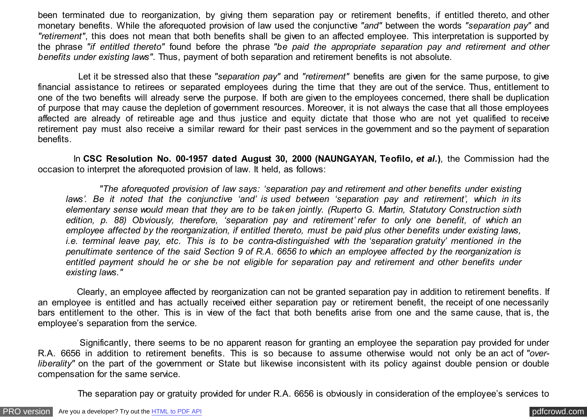been terminated due to reorganization, by giving them separation pay or retirement benefits, if entitled thereto, and other monetary benefits. While the aforequoted provision of law used the conjunctive *"and"* between the words *"separation pay"* and *"retirement"*, this does not mean that both benefits shall be given to an affected employee. This interpretation is supported by the phrase *"if entitled thereto"* found before the phrase *"be paid the appropriate separation pay and retirement and other benefits under existing laws"*. Thus, payment of both separation and retirement benefits is not absolute.

 Let it be stressed also that these *"separation pay"* and *"retirement"* benefits are given for the same purpose, to give financial assistance to retirees or separated employees during the time that they are out of the service. Thus, entitlement to one of the two benefits will already serve the purpose. If both are given to the employees concerned, there shall be duplication of purpose that may cause the depletion of government resources. Moreover, it is not always the case that all those employees affected are already of retireable age and thus justice and equity dictate that those who are not yet qualified to receive retirement pay must also receive a similar reward for their past services in the government and so the payment of separation benefits.

 In **CSC Resolution No. 00-1957 dated August 30, 2000 (NAUNGAYAN, Teofilo,** *et al.***)**, the Commission had the occasion to interpret the aforequoted provision of law. It held, as follows:

 *"The aforequoted provision of law says: 'separation pay and retirement and other benefits under existing laws'. Be it noted that the conjunctive 'and' is used between 'separation pay and retirement', which in its elementary sense would mean that they are to be taken jointly. (Ruperto G. Martin, Statutory Construction sixth edition, p. 88) Obviously, therefore, 'separation pay and retirement' refer to only one benefit, of which an employee affected by the reorganization, if entitled thereto, must be paid plus other benefits under existing laws, i.e. terminal leave pay, etc. This is to be contra-distinguished with the 'separation gratuity' mentioned in the penultimate sentence of the said Section 9 of R.A. 6656 to which an employee affected by the reorganization is entitled payment should he or she be not eligible for separation pay and retirement and other benefits under existing laws."*

 Clearly, an employee affected by reorganization can not be granted separation pay in addition to retirement benefits. If an employee is entitled and has actually received either separation pay or retirement benefit, the receipt of one necessarily bars entitlement to the other. This is in view of the fact that both benefits arise from one and the same cause, that is, the employee's separation from the service.

 Significantly, there seems to be no apparent reason for granting an employee the separation pay provided for under R.A. 6656 in addition to retirement benefits. This is so because to assume otherwise would not only be an act of *"overliberality"* on the part of the government or State but likewise inconsistent with its policy against double pension or double compensation for the same service.

The separation pay or gratuity provided for under R.A. 6656 is obviously in consideration of the employee's services to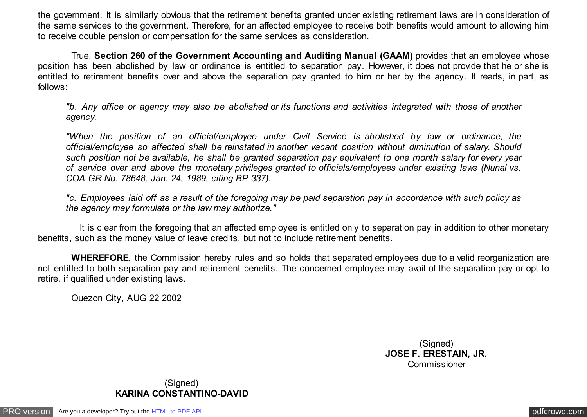the government. It is similarly obvious that the retirement benefits granted under existing retirement laws are in consideration of the same services to the government. Therefore, for an affected employee to receive both benefits would amount to allowing him to receive double pension or compensation for the same services as consideration.

 True, **Section 260 of the Government Accounting and Auditing Manual (GAAM)** provides that an employee whose position has been abolished by law or ordinance is entitled to separation pay. However, it does not provide that he or she is entitled to retirement benefits over and above the separation pay granted to him or her by the agency. It reads, in part, as follows:

*"b. Any office or agency may also be abolished or its functions and activities integrated with those of another agency.*

*"When the position of an official/employee under Civil Service is abolished by law or ordinance, the official/employee so affected shall be reinstated in another vacant position without diminution of salary. Should such position not be available, he shall be granted separation pay equivalent to one month salary for every year of service over and above the monetary privileges granted to officials/employees under existing laws (Nunal vs. COA GR No. 78648, Jan. 24, 1989, citing BP 337).*

*"c. Employees laid off as a result of the foregoing may be paid separation pay in accordance with such policy as the agency may formulate or the law may authorize."*

 It is clear from the foregoing that an affected employee is entitled only to separation pay in addition to other monetary benefits, such as the money value of leave credits, but not to include retirement benefits.

 **WHEREFORE**, the Commission hereby rules and so holds that separated employees due to a valid reorganization are not entitled to both separation pay and retirement benefits. The concerned employee may avail of the separation pay or opt to retire, if qualified under existing laws.

Quezon City, AUG 22 2002

(Signed) **JOSE F. ERESTAIN, JR.** Commissioner

(Signed) **KARINA CONSTANTINO-DAVID**